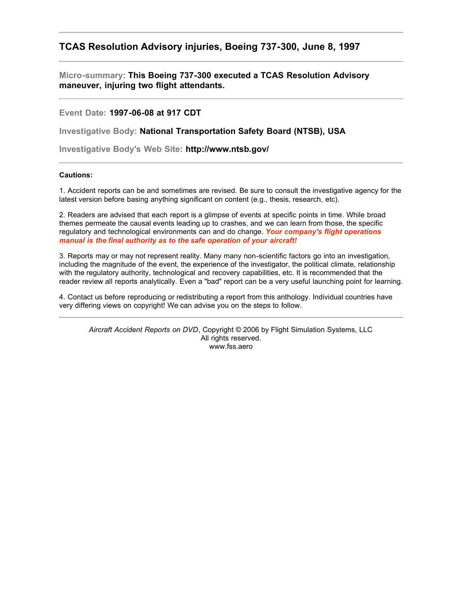# **TCAS Resolution Advisory injuries, Boeing 737-300, June 8, 1997**

**Micro-summary: This Boeing 737-300 executed a TCAS Resolution Advisory maneuver, injuring two flight attendants.**

**Event Date: 1997-06-08 at 917 CDT**

**Investigative Body: National Transportation Safety Board (NTSB), USA**

**Investigative Body's Web Site: http://www.ntsb.gov/**

## **Cautions:**

1. Accident reports can be and sometimes are revised. Be sure to consult the investigative agency for the latest version before basing anything significant on content (e.g., thesis, research, etc).

2. Readers are advised that each report is a glimpse of events at specific points in time. While broad themes permeate the causal events leading up to crashes, and we can learn from those, the specific regulatory and technological environments can and do change. *Your company's flight operations manual is the final authority as to the safe operation of your aircraft!*

3. Reports may or may not represent reality. Many many non-scientific factors go into an investigation, including the magnitude of the event, the experience of the investigator, the political climate, relationship with the regulatory authority, technological and recovery capabilities, etc. It is recommended that the reader review all reports analytically. Even a "bad" report can be a very useful launching point for learning.

4. Contact us before reproducing or redistributing a report from this anthology. Individual countries have very differing views on copyright! We can advise you on the steps to follow.

*Aircraft Accident Reports on DVD*, Copyright © 2006 by Flight Simulation Systems, LLC All rights reserved. www.fss.aero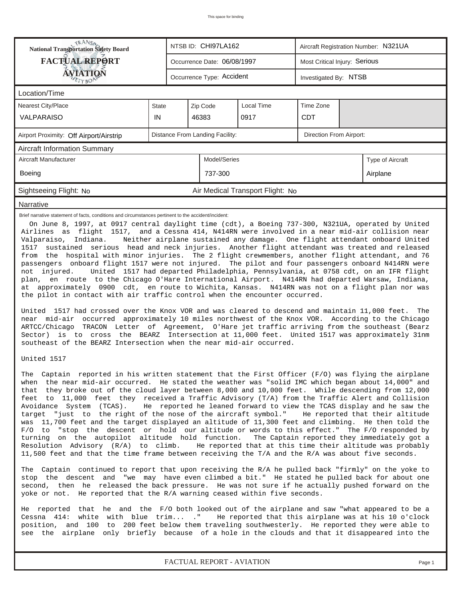| <b>National Transportation Safety Board</b>                                                                                                                                                                                                                                                                                                                                                                                                                                                                                                                                                                                                                                                                                                                                                                                                                                                                                                                                                                                                                                                                                                                                                                                                                                                                                                                                                                                                  | NTSB ID: CHI97LA162<br>Aircraft Registration Number: N321UA |                                                    |              |                                  |  |  |                  |  |  |
|----------------------------------------------------------------------------------------------------------------------------------------------------------------------------------------------------------------------------------------------------------------------------------------------------------------------------------------------------------------------------------------------------------------------------------------------------------------------------------------------------------------------------------------------------------------------------------------------------------------------------------------------------------------------------------------------------------------------------------------------------------------------------------------------------------------------------------------------------------------------------------------------------------------------------------------------------------------------------------------------------------------------------------------------------------------------------------------------------------------------------------------------------------------------------------------------------------------------------------------------------------------------------------------------------------------------------------------------------------------------------------------------------------------------------------------------|-------------------------------------------------------------|----------------------------------------------------|--------------|----------------------------------|--|--|------------------|--|--|
| <b>FACTUAL REPORT</b><br>Most Critical Injury: Serious<br>Occurrence Date: 06/08/1997                                                                                                                                                                                                                                                                                                                                                                                                                                                                                                                                                                                                                                                                                                                                                                                                                                                                                                                                                                                                                                                                                                                                                                                                                                                                                                                                                        |                                                             |                                                    |              |                                  |  |  |                  |  |  |
| AVIATION                                                                                                                                                                                                                                                                                                                                                                                                                                                                                                                                                                                                                                                                                                                                                                                                                                                                                                                                                                                                                                                                                                                                                                                                                                                                                                                                                                                                                                     |                                                             | Occurrence Type: Accident<br>Investigated By: NTSB |              |                                  |  |  |                  |  |  |
| Location/Time                                                                                                                                                                                                                                                                                                                                                                                                                                                                                                                                                                                                                                                                                                                                                                                                                                                                                                                                                                                                                                                                                                                                                                                                                                                                                                                                                                                                                                |                                                             |                                                    |              |                                  |  |  |                  |  |  |
| <b>Nearest City/Place</b>                                                                                                                                                                                                                                                                                                                                                                                                                                                                                                                                                                                                                                                                                                                                                                                                                                                                                                                                                                                                                                                                                                                                                                                                                                                                                                                                                                                                                    | State                                                       | Zip Code                                           |              |                                  |  |  |                  |  |  |
| <b>VALPARAISO</b>                                                                                                                                                                                                                                                                                                                                                                                                                                                                                                                                                                                                                                                                                                                                                                                                                                                                                                                                                                                                                                                                                                                                                                                                                                                                                                                                                                                                                            | IN                                                          |                                                    | 46383        |                                  |  |  |                  |  |  |
| Airport Proximity: Off Airport/Airstrip                                                                                                                                                                                                                                                                                                                                                                                                                                                                                                                                                                                                                                                                                                                                                                                                                                                                                                                                                                                                                                                                                                                                                                                                                                                                                                                                                                                                      | Distance From Landing Facility:<br>Direction From Airport:  |                                                    |              |                                  |  |  |                  |  |  |
| <b>Aircraft Information Summary</b>                                                                                                                                                                                                                                                                                                                                                                                                                                                                                                                                                                                                                                                                                                                                                                                                                                                                                                                                                                                                                                                                                                                                                                                                                                                                                                                                                                                                          |                                                             |                                                    |              |                                  |  |  |                  |  |  |
| Aircraft Manufacturer                                                                                                                                                                                                                                                                                                                                                                                                                                                                                                                                                                                                                                                                                                                                                                                                                                                                                                                                                                                                                                                                                                                                                                                                                                                                                                                                                                                                                        |                                                             |                                                    | Model/Series |                                  |  |  | Type of Aircraft |  |  |
| Boeing                                                                                                                                                                                                                                                                                                                                                                                                                                                                                                                                                                                                                                                                                                                                                                                                                                                                                                                                                                                                                                                                                                                                                                                                                                                                                                                                                                                                                                       |                                                             |                                                    | 737-300      |                                  |  |  | Airplane         |  |  |
| Sightseeing Flight: No                                                                                                                                                                                                                                                                                                                                                                                                                                                                                                                                                                                                                                                                                                                                                                                                                                                                                                                                                                                                                                                                                                                                                                                                                                                                                                                                                                                                                       |                                                             |                                                    |              | Air Medical Transport Flight: No |  |  |                  |  |  |
| Narrative                                                                                                                                                                                                                                                                                                                                                                                                                                                                                                                                                                                                                                                                                                                                                                                                                                                                                                                                                                                                                                                                                                                                                                                                                                                                                                                                                                                                                                    |                                                             |                                                    |              |                                  |  |  |                  |  |  |
| Airlines as flight 1517, and a Cessna 414, N414RN were involved in a near mid-air collision near<br>Valparaiso, Indiana.<br>Neither airplane sustained any damage. One flight attendant onboard United<br>sustained serious head and neck injuries. Another flight attendant was treated and released<br>1517<br>from the hospital with minor injuries. The 2 flight crewmembers, another flight attendant, and 76<br>passengers onboard flight 1517 were not injured. The pilot and four passengers onboard N414RN were<br>United 1517 had departed Philadelphia, Pennsylvania, at 0758 cdt, on an IFR flight<br>not injured.<br>plan, en route to the Chicago O'Hare International Airport. N414RN had departed Warsaw, Indiana,<br>at approximately 0900 cdt, en route to Wichita, Kansas. N414RN was not on a flight plan nor was<br>the pilot in contact with air traffic control when the encounter occurred.<br>United 1517 had crossed over the Knox VOR and was cleared to descend and maintain 11,000 feet.<br>The<br>near mid-air occurred approximately 10 miles northwest of the Knox VOR. According to the Chicago<br>ARTCC/Chicago TRACON Letter of Agreement, O'Hare jet traffic arriving from the southeast (Bearz<br>Sector) is to cross the BEARZ Intersection at 11,000 feet. United 1517 was approximately 31nm<br>southeast of the BEARZ Intersection when the near mid-air occurred.<br>United 1517                   |                                                             |                                                    |              |                                  |  |  |                  |  |  |
| The Captain reported in his written statement that the First Officer (F/O) was flying the airplane<br>when the near mid-air occurred. He stated the weather was "solid IMC which began about 14,000" and<br>that they broke out of the cloud layer between 8,000 and 10,000 feet. While descending from 12,000<br>feet to 11,000 feet they received a Traffic Advisory (T/A) from the Traffic Alert and Collision<br>Avoidance System (TCAS). He reported he leaned forward to view the TCAS display and he saw the<br>target "just to the right of the nose of the aircraft symbol." He reported that their altitude<br>was 11,700 feet and the target displayed an altitude of 11,300 feet and climbing. He then told the<br>F/O to "stop the descent or hold our altitude or words to this effect." The F/O responded by<br>turning on the autopilot altitude hold function. The Captain reported they immediately got a<br>Resolution Advisory (R/A) to climb. He reported that at this time their altitude was probably<br>11,500 feet and that the time frame between receiving the T/A and the R/A was about five seconds.<br>The Captain continued to report that upon receiving the R/A he pulled back "firmly" on the yoke to<br>stop the descent and "we may have even climbed a bit." He stated he pulled back for about one<br>second, then he released the back pressure. He was not sure if he actually pushed forward on the |                                                             |                                                    |              |                                  |  |  |                  |  |  |
| yoke or not. He reported that the R/A warning ceased within five seconds.<br>He reported that he and the F/O both looked out of the airplane and saw "what appeared to be a<br>Cessna 414: white with blue trim ." He reported that this airplane was at his 10 o'clock<br>position, and 100 to 200 feet below them traveling southwesterly. He reported they were able to<br>see the airplane only briefly because of a hole in the clouds and that it disappeared into the                                                                                                                                                                                                                                                                                                                                                                                                                                                                                                                                                                                                                                                                                                                                                                                                                                                                                                                                                                 |                                                             |                                                    |              |                                  |  |  |                  |  |  |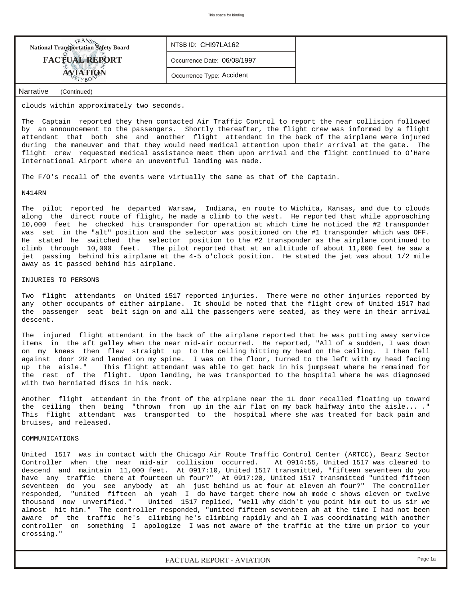| <b>National Transportation Safety Board</b> | NTSB ID: CHI97LA162         |  |
|---------------------------------------------|-----------------------------|--|
| <b>FACTUAL REPORT</b>                       | Occurrence Date: 06/08/1997 |  |
| <b>AVIATION</b>                             | Occurrence Type: Accident   |  |
| Narrative<br>(Continued)                    |                             |  |

clouds within approximately two seconds.

The Captain reported they then contacted Air Traffic Control to report the near collision followed by an announcement to the passengers. Shortly thereafter, the flight crew was informed by a flight attendant that both she and another flight attendant in the back of the airplane were injured during the maneuver and that they would need medical attention upon their arrival at the gate. The flight crew requested medical assistance meet them upon arrival and the flight continued to O'Hare International Airport where an uneventful landing was made.

The F/O's recall of the events were virtually the same as that of the Captain.

#### N414RN

The pilot reported he departed Warsaw, Indiana, en route to Wichita, Kansas, and due to clouds along the direct route of flight, he made a climb to the west. He reported that while approaching 10,000 feet he checked his transponder for operation at which time he noticed the #2 transponder was set in the "alt" position and the selector was positioned on the #1 transponder which was OFF. He stated he switched the selector position to the #2 transponder as the airplane continued to climb through 10,000 feet. The pilot reported that at an altitude of about 11,000 feet he saw a jet passing behind his airplane at the 4-5 o'clock position. He stated the jet was about 1/2 mile away as it passed behind his airplane.

### INJURIES TO PERSONS

Two flight attendants on United 1517 reported injuries. There were no other injuries reported by any other occupants of either airplane. It should be noted that the flight crew of United 1517 had the passenger seat belt sign on and all the passengers were seated, as they were in their arrival descent.

The injured flight attendant in the back of the airplane reported that he was putting away service items in the aft galley when the near mid-air occurred. He reported, "All of a sudden, I was down on my knees then flew straight up to the ceiling hitting my head on the ceiling. I then fell against door 2R and landed on my spine. I was on the floor, turned to the left with my head facing up the aisle." This flight attendant was able to get back in his jumpseat where he remained for the rest of the flight. Upon landing, he was transported to the hospital where he was diagnosed with two herniated discs in his neck.

Another flight attendant in the front of the airplane near the 1L door recalled floating up toward the ceiling then being "thrown from up in the air flat on my back halfway into the aisle... ." This flight attendant was transported to the hospital where she was treated for back pain and bruises, and released.

#### COMMUNICATIONS

United 1517 was in contact with the Chicago Air Route Traffic Control Center (ARTCC), Bearz Sector Controller when the near mid-air collision occurred. At 0914:55, United 1517 was cleared to descend and maintain 11,000 feet. At 0917:10, United 1517 transmitted, "fifteen seventeen do you have any traffic there at fourteen uh four?" At 0917:20, United 1517 transmitted "united fifteen seventeen do you see anybody at ah just behind us at four at eleven ah four?" The controller responded, "united fifteen ah yeah I do have target there now ah mode c shows eleven or twelve thousand now unverified." United 1517 replied, "well why didn't you point him out to us sir we almost hit him." The controller responded, "united fifteen seventeen ah at the time I had not been aware of the traffic he's climbing he's climbing rapidly and ah I was coordinating with another controller on something I apologize I was not aware of the traffic at the time um prior to your crossing."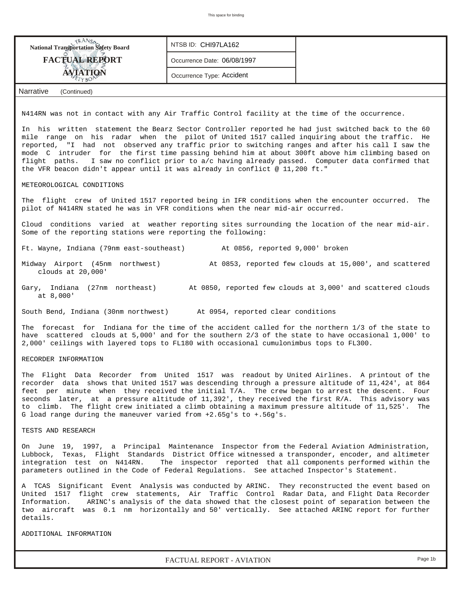| <b>NANSA</b><br>National Transportation Safety Board                                                                                                                                                                                                                                                                                                                                                                                                                                                                                                                                         | NTSB ID: CHI97LA162         |                                                                                      |  |  |  |  |  |  |
|----------------------------------------------------------------------------------------------------------------------------------------------------------------------------------------------------------------------------------------------------------------------------------------------------------------------------------------------------------------------------------------------------------------------------------------------------------------------------------------------------------------------------------------------------------------------------------------------|-----------------------------|--------------------------------------------------------------------------------------|--|--|--|--|--|--|
| <b>FACTUAL REPORT</b>                                                                                                                                                                                                                                                                                                                                                                                                                                                                                                                                                                        | Occurrence Date: 06/08/1997 |                                                                                      |  |  |  |  |  |  |
| AVIATION                                                                                                                                                                                                                                                                                                                                                                                                                                                                                                                                                                                     | Occurrence Type: Accident   |                                                                                      |  |  |  |  |  |  |
| TYBO<br><b>Narrative</b><br>(Continued)                                                                                                                                                                                                                                                                                                                                                                                                                                                                                                                                                      |                             |                                                                                      |  |  |  |  |  |  |
|                                                                                                                                                                                                                                                                                                                                                                                                                                                                                                                                                                                              |                             |                                                                                      |  |  |  |  |  |  |
| N414RN was not in contact with any Air Traffic Control facility at the time of the occurrence.                                                                                                                                                                                                                                                                                                                                                                                                                                                                                               |                             |                                                                                      |  |  |  |  |  |  |
| In his written statement the Bearz Sector Controller reported he had just switched back to the 60<br>mile range on his radar when the pilot of United 1517 called inquiring about the traffic. He<br>reported, "I had not observed any traffic prior to switching ranges and after his call I saw the<br>mode C intruder for the first time passing behind him at about 300ft above him climbing based on<br>flight paths. I saw no conflict prior to a/c having already passed. Computer data confirmed that<br>the VFR beacon didn't appear until it was already in conflict @ 11,200 ft." |                             |                                                                                      |  |  |  |  |  |  |
| METEOROLOGICAL CONDITIONS                                                                                                                                                                                                                                                                                                                                                                                                                                                                                                                                                                    |                             |                                                                                      |  |  |  |  |  |  |
| The flight crew of United 1517 reported being in IFR conditions when the encounter occurred. The<br>pilot of N414RN stated he was in VFR conditions when the near mid-air occurred.                                                                                                                                                                                                                                                                                                                                                                                                          |                             |                                                                                      |  |  |  |  |  |  |
| Cloud conditions varied at weather reporting sites surrounding the location of the near mid-air.<br>Some of the reporting stations were reporting the following:                                                                                                                                                                                                                                                                                                                                                                                                                             |                             |                                                                                      |  |  |  |  |  |  |
| Ft. Wayne, Indiana (79nm east-southeast) At 0856, reported 9,000' broken                                                                                                                                                                                                                                                                                                                                                                                                                                                                                                                     |                             |                                                                                      |  |  |  |  |  |  |
| Midway Airport (45nm northwest)<br>At 0853, reported few clouds at 15,000', and scattered<br>clouds at 20,000'                                                                                                                                                                                                                                                                                                                                                                                                                                                                               |                             |                                                                                      |  |  |  |  |  |  |
| Gary, Indiana (27nm northeast) At 0850, reported few clouds at 3,000' and scattered clouds<br>at 8,000'                                                                                                                                                                                                                                                                                                                                                                                                                                                                                      |                             |                                                                                      |  |  |  |  |  |  |
| South Bend, Indiana (30nm northwest) At 0954, reported clear conditions                                                                                                                                                                                                                                                                                                                                                                                                                                                                                                                      |                             |                                                                                      |  |  |  |  |  |  |
| The forecast for Indiana for the time of the accident called for the northern 1/3 of the state to<br>have scattered clouds at 5,000' and for the southern 2/3 of the state to have occasional 1,000' to<br>2,000' ceilings with layered tops to FL180 with occasional cumulonimbus tops to FL300.                                                                                                                                                                                                                                                                                            |                             |                                                                                      |  |  |  |  |  |  |
| RECORDER INFORMATION                                                                                                                                                                                                                                                                                                                                                                                                                                                                                                                                                                         |                             |                                                                                      |  |  |  |  |  |  |
| The Flight Data Recorder from United 1517 was readout by United Airlines. A printout of the<br>recorder data shows that United 1517 was descending through a pressure altitude of 11,424', at 864<br>feet per minute when they received the initial T/A. The crew began to arrest the descent. Four<br>seconds later, at a pressure altitude of 11,392', they received the first R/A. This advisory was<br>to climb. The flight crew initiated a climb obtaining a maximum pressure altitude of 11,525'. The<br>G load range during the maneuver varied from $+2.65g$ 's to $+0.56g$ 's.     |                             |                                                                                      |  |  |  |  |  |  |
| TESTS AND RESEARCH                                                                                                                                                                                                                                                                                                                                                                                                                                                                                                                                                                           |                             |                                                                                      |  |  |  |  |  |  |
| On June 19, 1997, a Principal Maintenance Inspector from the Federal Aviation Administration,<br>Lubbock, Texas, Flight Standards District Office witnessed a transponder, encoder, and altimeter<br>integration test on N414RN.<br>The inspector reported that all components performed within the<br>parameters outlined in the Code of Federal Regulations. See attached Inspector's Statement.                                                                                                                                                                                           |                             |                                                                                      |  |  |  |  |  |  |
| A TCAS Significant Event Analysis was conducted by ARINC. They reconstructed the event based on<br>United 1517 flight crew statements, Air Traffic Control Radar Data, and Flight Data Recorder<br>Information.<br>two aircraft was 0.1 nm horizontally and 50' vertically. See attached ARINC report for further<br>details.                                                                                                                                                                                                                                                                |                             | ARINC's analysis of the data showed that the closest point of separation between the |  |  |  |  |  |  |
| ADDITIONAL INFORMATION                                                                                                                                                                                                                                                                                                                                                                                                                                                                                                                                                                       |                             |                                                                                      |  |  |  |  |  |  |
|                                                                                                                                                                                                                                                                                                                                                                                                                                                                                                                                                                                              |                             |                                                                                      |  |  |  |  |  |  |

*FACTUAL REPORT - AVIATION Page 1b*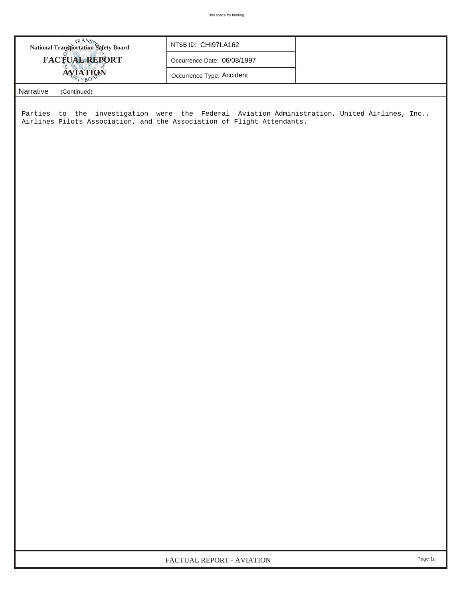| ERANS<br>National Transportation Safety Board                                                                                                                           | NTSB ID: CHI97LA162         |  |  |  |  |  |  |  |
|-------------------------------------------------------------------------------------------------------------------------------------------------------------------------|-----------------------------|--|--|--|--|--|--|--|
| <b>FACTUAL REPORT</b>                                                                                                                                                   | Occurrence Date: 06/08/1997 |  |  |  |  |  |  |  |
| <b>AVIATION</b>                                                                                                                                                         | Occurrence Type: Accident   |  |  |  |  |  |  |  |
| Narrative<br>(Continued)                                                                                                                                                |                             |  |  |  |  |  |  |  |
| Parties to the investigation were the Federal Aviation Administration, United Airlines, Inc.,<br>Airlines Pilots Association, and the Association of Flight Attendants. |                             |  |  |  |  |  |  |  |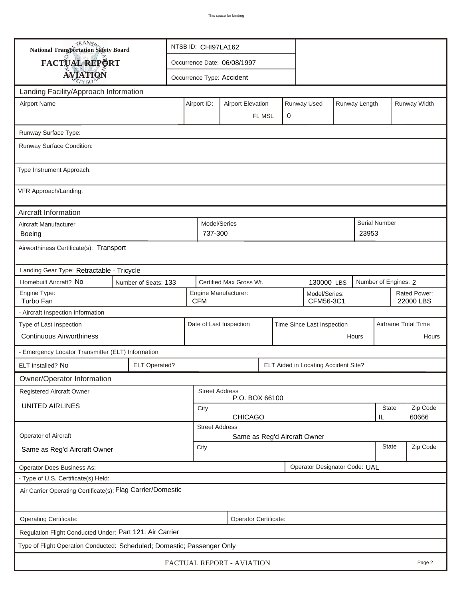| <b>National Transportation Safety Board</b>                             |                             | NTSB ID: CHI97LA162                                                     |                      |                         |                                                   |                            |                                      |          |                     |                           |  |
|-------------------------------------------------------------------------|-----------------------------|-------------------------------------------------------------------------|----------------------|-------------------------|---------------------------------------------------|----------------------------|--------------------------------------|----------|---------------------|---------------------------|--|
| FACTUAL REPORT                                                          | Occurrence Date: 06/08/1997 |                                                                         |                      |                         |                                                   |                            |                                      |          |                     |                           |  |
| <b>AVIATION</b>                                                         | Occurrence Type: Accident   |                                                                         |                      |                         |                                                   |                            |                                      |          |                     |                           |  |
| Landing Facility/Approach Information                                   |                             |                                                                         |                      |                         |                                                   |                            |                                      |          |                     |                           |  |
| <b>Airport Name</b>                                                     |                             | Runway Used<br>Runway Length<br>Airport ID:<br><b>Airport Elevation</b> |                      |                         |                                                   |                            |                                      |          | Runway Width        |                           |  |
|                                                                         |                             |                                                                         | 0<br>Ft. MSL         |                         |                                                   |                            |                                      |          |                     |                           |  |
| Runway Surface Type:                                                    |                             |                                                                         |                      |                         |                                                   |                            |                                      |          |                     |                           |  |
| Runway Surface Condition:                                               |                             |                                                                         |                      |                         |                                                   |                            |                                      |          |                     |                           |  |
| Type Instrument Approach:                                               |                             |                                                                         |                      |                         |                                                   |                            |                                      |          |                     |                           |  |
| VFR Approach/Landing:                                                   |                             |                                                                         |                      |                         |                                                   |                            |                                      |          |                     |                           |  |
| Aircraft Information                                                    |                             |                                                                         |                      |                         |                                                   |                            |                                      |          |                     |                           |  |
| Aircraft Manufacturer<br>Boeing                                         |                             |                                                                         |                      |                         | Model/Series<br>Serial Number<br>737-300<br>23953 |                            |                                      |          |                     |                           |  |
| Airworthiness Certificate(s): Transport                                 |                             |                                                                         |                      |                         |                                                   |                            |                                      |          |                     |                           |  |
| Landing Gear Type: Retractable - Tricycle                               |                             |                                                                         |                      |                         |                                                   |                            |                                      |          |                     |                           |  |
| Homebuilt Aircraft? No                                                  | Number of Seats: 133        |                                                                         |                      | Certified Max Gross Wt. |                                                   |                            | 130000 LBS                           |          |                     | Number of Engines: 2      |  |
| Engine Type:<br>Turbo Fan                                               | <b>CFM</b>                  |                                                                         | Engine Manufacturer: |                         |                                                   | Model/Series:<br>CFM56-3C1 |                                      |          |                     | Rated Power:<br>22000 LBS |  |
| - Aircraft Inspection Information                                       |                             |                                                                         |                      |                         |                                                   |                            |                                      |          |                     |                           |  |
| Type of Last Inspection                                                 |                             | Date of Last Inspection<br>Time Since Last Inspection                   |                      |                         |                                                   |                            |                                      |          | Airframe Total Time |                           |  |
| <b>Continuous Airworthiness</b>                                         |                             |                                                                         | Hours                |                         |                                                   |                            |                                      |          |                     | Hours                     |  |
| - Emergency Locator Transmitter (ELT) Information                       |                             |                                                                         |                      |                         |                                                   |                            |                                      |          |                     |                           |  |
| ELT Installed? No                                                       | <b>ELT Operated?</b>        |                                                                         |                      |                         |                                                   |                            | ELT Aided in Locating Accident Site? |          |                     |                           |  |
| Owner/Operator Information                                              |                             |                                                                         |                      |                         |                                                   |                            |                                      |          |                     |                           |  |
| <b>Registered Aircraft Owner</b>                                        |                             | <b>Street Address</b><br>P.O. BOX 66100                                 |                      |                         |                                                   |                            |                                      |          |                     |                           |  |
| <b>UNITED AIRLINES</b>                                                  |                             | <b>State</b><br>City                                                    |                      |                         |                                                   |                            |                                      | Zip Code |                     |                           |  |
|                                                                         |                             | <b>CHICAGO</b><br>IL<br><b>Street Address</b>                           |                      |                         |                                                   |                            |                                      |          | 60666               |                           |  |
| Operator of Aircraft                                                    |                             | Same as Reg'd Aircraft Owner                                            |                      |                         |                                                   |                            |                                      |          |                     |                           |  |
| Same as Reg'd Aircraft Owner                                            |                             | <b>State</b><br>City                                                    |                      |                         |                                                   |                            |                                      | Zip Code |                     |                           |  |
| Operator Does Business As:                                              |                             | Operator Designator Code: UAL                                           |                      |                         |                                                   |                            |                                      |          |                     |                           |  |
| - Type of U.S. Certificate(s) Held:                                     |                             |                                                                         |                      |                         |                                                   |                            |                                      |          |                     |                           |  |
| Air Carrier Operating Certificate(s): Flag Carrier/Domestic             |                             |                                                                         |                      |                         |                                                   |                            |                                      |          |                     |                           |  |
| Operating Certificate:                                                  |                             |                                                                         |                      | Operator Certificate:   |                                                   |                            |                                      |          |                     |                           |  |
| Regulation Flight Conducted Under: Part 121: Air Carrier                |                             |                                                                         |                      |                         |                                                   |                            |                                      |          |                     |                           |  |
| Type of Flight Operation Conducted: Scheduled; Domestic; Passenger Only |                             |                                                                         |                      |                         |                                                   |                            |                                      |          |                     |                           |  |
| FACTUAL REPORT - AVIATION<br>Page 2                                     |                             |                                                                         |                      |                         |                                                   |                            |                                      |          |                     |                           |  |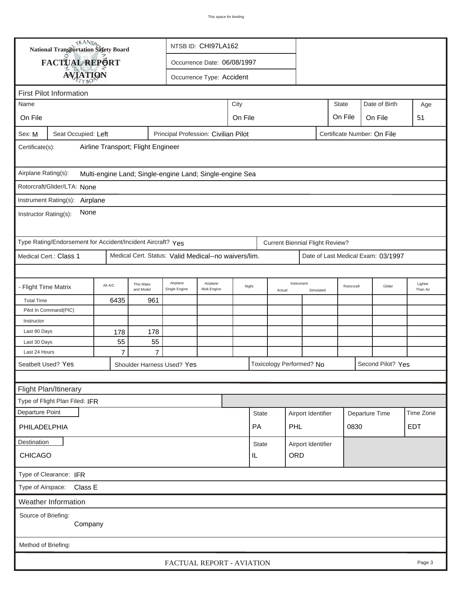| TRANSA<br>NTSB ID: CHI97LA162<br>National Transportation Safety Board                                 |                                |                                                                                           |                      |                                                          |  |         |                                                  |        |                           |                         |                             |                        |                                    |                     |
|-------------------------------------------------------------------------------------------------------|--------------------------------|-------------------------------------------------------------------------------------------|----------------------|----------------------------------------------------------|--|---------|--------------------------------------------------|--------|---------------------------|-------------------------|-----------------------------|------------------------|------------------------------------|---------------------|
| FACTUAL REPORT<br>Occurrence Date: 06/08/1997                                                         |                                |                                                                                           |                      |                                                          |  |         |                                                  |        |                           |                         |                             |                        |                                    |                     |
| <b>AVIATION</b><br>Occurrence Type: Accident                                                          |                                |                                                                                           |                      |                                                          |  |         |                                                  |        |                           |                         |                             |                        |                                    |                     |
|                                                                                                       |                                |                                                                                           |                      |                                                          |  |         |                                                  |        |                           |                         |                             |                        |                                    |                     |
| Name                                                                                                  | <b>First Pilot Information</b> |                                                                                           |                      |                                                          |  | City    |                                                  |        |                           |                         | <b>State</b>                |                        | Date of Birth                      | Age                 |
| On File                                                                                               |                                |                                                                                           |                      |                                                          |  | On File |                                                  |        |                           |                         | On File                     |                        | On File                            | 51                  |
|                                                                                                       |                                |                                                                                           |                      |                                                          |  |         |                                                  |        |                           |                         |                             |                        |                                    |                     |
| Sex: M                                                                                                | Seat Occupied: Left            |                                                                                           |                      | Principal Profession: Civilian Pilot                     |  |         |                                                  |        |                           |                         | Certificate Number: On File |                        |                                    |                     |
| Certificate(s):                                                                                       |                                | Airline Transport; Flight Engineer                                                        |                      |                                                          |  |         |                                                  |        |                           |                         |                             |                        |                                    |                     |
| Airplane Rating(s):                                                                                   |                                |                                                                                           |                      | Multi-engine Land; Single-engine Land; Single-engine Sea |  |         |                                                  |        |                           |                         |                             |                        |                                    |                     |
| Rotorcraft/Glider/LTA: None                                                                           |                                |                                                                                           |                      |                                                          |  |         |                                                  |        |                           |                         |                             |                        |                                    |                     |
| Instrument Rating(s): Airplane                                                                        |                                |                                                                                           |                      |                                                          |  |         |                                                  |        |                           |                         |                             |                        |                                    |                     |
| None<br>Instructor Rating(s):                                                                         |                                |                                                                                           |                      |                                                          |  |         |                                                  |        |                           |                         |                             |                        |                                    |                     |
| Type Rating/Endorsement for Accident/Incident Aircraft? Yes<br><b>Current Biennial Flight Review?</b> |                                |                                                                                           |                      |                                                          |  |         |                                                  |        |                           |                         |                             |                        |                                    |                     |
| Medical Cert. Status: Valid Medical--no waivers/lim.<br>Medical Cert.: Class 1                        |                                |                                                                                           |                      |                                                          |  |         |                                                  |        |                           |                         |                             |                        | Date of Last Medical Exam: 03/1997 |                     |
|                                                                                                       |                                |                                                                                           |                      |                                                          |  |         |                                                  |        |                           |                         |                             |                        |                                    |                     |
| - Flight Time Matrix                                                                                  |                                | Airplane<br>Airplane<br>This Make<br>All A/C<br>Mult-Engine<br>and Model<br>Single Engine |                      |                                                          |  |         | Night                                            | Actual | Instrument                | Rotorcraft<br>Simulated |                             |                        | Glider                             | Lighter<br>Than Air |
| <b>Total Time</b>                                                                                     |                                | 6435                                                                                      | 961                  |                                                          |  |         |                                                  |        |                           |                         |                             |                        |                                    |                     |
|                                                                                                       | Pilot In Command(PIC)          |                                                                                           |                      |                                                          |  |         |                                                  |        |                           |                         |                             |                        |                                    |                     |
| Instructor                                                                                            |                                |                                                                                           |                      |                                                          |  |         |                                                  |        |                           |                         |                             |                        |                                    |                     |
| Last 90 Days                                                                                          |                                | 178                                                                                       | 178                  |                                                          |  |         |                                                  |        |                           |                         |                             |                        |                                    |                     |
| Last 30 Days<br>Last 24 Hours                                                                         |                                | 55<br>$\overline{7}$                                                                      | 55<br>$\overline{7}$ |                                                          |  |         |                                                  |        |                           |                         |                             |                        |                                    |                     |
|                                                                                                       |                                |                                                                                           |                      |                                                          |  |         |                                                  |        | Toxicology Performed? No  |                         |                             |                        | Second Pilot? Yes                  |                     |
| Seatbelt Used? Yes<br>Shoulder Harness Used? Yes                                                      |                                |                                                                                           |                      |                                                          |  |         |                                                  |        |                           |                         |                             |                        |                                    |                     |
|                                                                                                       | Flight Plan/Itinerary          |                                                                                           |                      |                                                          |  |         |                                                  |        |                           |                         |                             |                        |                                    |                     |
|                                                                                                       | Type of Flight Plan Filed: IFR |                                                                                           |                      |                                                          |  |         |                                                  |        |                           |                         |                             |                        |                                    |                     |
| Departure Point                                                                                       |                                |                                                                                           |                      |                                                          |  |         | <b>State</b>                                     |        |                           |                         |                             |                        |                                    | Time Zone           |
| PHILADELPHIA                                                                                          |                                |                                                                                           |                      |                                                          |  |         | <b>PA</b>                                        |        | Airport Identifier<br>PHL |                         |                             | Departure Time<br>0830 |                                    | EDT                 |
|                                                                                                       |                                |                                                                                           |                      |                                                          |  |         |                                                  |        |                           |                         |                             |                        |                                    |                     |
| Destination<br><b>CHICAGO</b>                                                                         |                                |                                                                                           |                      |                                                          |  |         | <b>State</b><br>Airport Identifier<br>ORD<br>IL. |        |                           |                         |                             |                        |                                    |                     |
| Type of Clearance: IFR                                                                                |                                |                                                                                           |                      |                                                          |  |         |                                                  |        |                           |                         |                             |                        |                                    |                     |
|                                                                                                       | Type of Airspace: Class E      |                                                                                           |                      |                                                          |  |         |                                                  |        |                           |                         |                             |                        |                                    |                     |
|                                                                                                       | <b>Weather Information</b>     |                                                                                           |                      |                                                          |  |         |                                                  |        |                           |                         |                             |                        |                                    |                     |
| Source of Briefing:                                                                                   | Company                        |                                                                                           |                      |                                                          |  |         |                                                  |        |                           |                         |                             |                        |                                    |                     |
| Method of Briefing:                                                                                   |                                |                                                                                           |                      |                                                          |  |         |                                                  |        |                           |                         |                             |                        |                                    |                     |
|                                                                                                       |                                |                                                                                           |                      | FACTUAL REPORT - AVIATION                                |  |         |                                                  |        |                           |                         |                             |                        |                                    | Page 3              |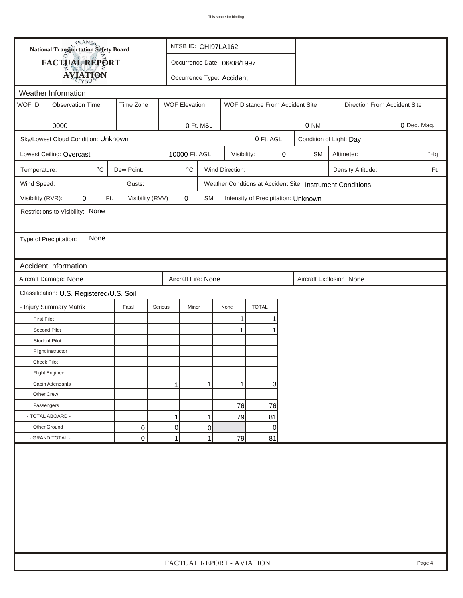| FACTUAL REPORT<br>Occurrence Date: 06/08/1997<br><b>AVIATION</b><br>Occurrence Type: Accident<br>Weather Information<br>WOF ID<br>Time Zone<br><b>Observation Time</b><br><b>WOF Elevation</b><br>WOF Distance From Accident Site<br>Direction From Accident Site<br>0000<br>0 Ft. MSL<br>0 NM<br>Sky/Lowest Cloud Condition: Unknown<br>0 Ft. AGL<br>Condition of Light: Day<br>Lowest Ceiling: Overcast<br>10000 Ft. AGL<br>0<br>Visibility:<br><b>SM</b><br>Altimeter:<br>$^{\circ}$ C<br>Dew Point:<br>$^\circ\mathrm{C}$<br>Wind Direction:<br>Temperature:<br>Density Altitude:<br>Wind Speed:<br>Gusts:<br>Weather Condtions at Accident Site: Instrument Conditions<br>Visibility (RVR):<br>0<br>Visibility (RVV)<br>0<br>Ft.<br><b>SM</b><br>Intensity of Precipitation: Unknown<br>Restrictions to Visibility: None<br>None<br>Type of Precipitation:<br>Accident Information<br>Aircraft Fire: None<br>Aircraft Damage: None<br>Aircraft Explosion None<br>Classification: U.S. Registered/U.S. Soil<br>- Injury Summary Matrix<br><b>TOTAL</b><br>Fatal<br>Serious<br>Minor<br>None<br><b>First Pilot</b><br>1<br>Second Pilot<br>1<br><b>Student Pilot</b><br>Flight Instructor |             | <b>National Transportation Safety Board</b> |  | NTSB ID: CHI97LA162 |  |                           |  |  |  |  |     |             |
|----------------------------------------------------------------------------------------------------------------------------------------------------------------------------------------------------------------------------------------------------------------------------------------------------------------------------------------------------------------------------------------------------------------------------------------------------------------------------------------------------------------------------------------------------------------------------------------------------------------------------------------------------------------------------------------------------------------------------------------------------------------------------------------------------------------------------------------------------------------------------------------------------------------------------------------------------------------------------------------------------------------------------------------------------------------------------------------------------------------------------------------------------------------------------------------------|-------------|---------------------------------------------|--|---------------------|--|---------------------------|--|--|--|--|-----|-------------|
|                                                                                                                                                                                                                                                                                                                                                                                                                                                                                                                                                                                                                                                                                                                                                                                                                                                                                                                                                                                                                                                                                                                                                                                              |             |                                             |  |                     |  |                           |  |  |  |  |     |             |
|                                                                                                                                                                                                                                                                                                                                                                                                                                                                                                                                                                                                                                                                                                                                                                                                                                                                                                                                                                                                                                                                                                                                                                                              |             |                                             |  |                     |  |                           |  |  |  |  |     |             |
|                                                                                                                                                                                                                                                                                                                                                                                                                                                                                                                                                                                                                                                                                                                                                                                                                                                                                                                                                                                                                                                                                                                                                                                              |             |                                             |  |                     |  |                           |  |  |  |  |     |             |
|                                                                                                                                                                                                                                                                                                                                                                                                                                                                                                                                                                                                                                                                                                                                                                                                                                                                                                                                                                                                                                                                                                                                                                                              |             |                                             |  |                     |  |                           |  |  |  |  |     |             |
|                                                                                                                                                                                                                                                                                                                                                                                                                                                                                                                                                                                                                                                                                                                                                                                                                                                                                                                                                                                                                                                                                                                                                                                              |             |                                             |  |                     |  |                           |  |  |  |  |     |             |
|                                                                                                                                                                                                                                                                                                                                                                                                                                                                                                                                                                                                                                                                                                                                                                                                                                                                                                                                                                                                                                                                                                                                                                                              |             |                                             |  |                     |  |                           |  |  |  |  |     | 0 Deg. Mag. |
|                                                                                                                                                                                                                                                                                                                                                                                                                                                                                                                                                                                                                                                                                                                                                                                                                                                                                                                                                                                                                                                                                                                                                                                              |             |                                             |  |                     |  |                           |  |  |  |  |     |             |
|                                                                                                                                                                                                                                                                                                                                                                                                                                                                                                                                                                                                                                                                                                                                                                                                                                                                                                                                                                                                                                                                                                                                                                                              |             |                                             |  |                     |  |                           |  |  |  |  |     | "Hg         |
|                                                                                                                                                                                                                                                                                                                                                                                                                                                                                                                                                                                                                                                                                                                                                                                                                                                                                                                                                                                                                                                                                                                                                                                              |             |                                             |  |                     |  |                           |  |  |  |  | Ft. |             |
|                                                                                                                                                                                                                                                                                                                                                                                                                                                                                                                                                                                                                                                                                                                                                                                                                                                                                                                                                                                                                                                                                                                                                                                              |             |                                             |  |                     |  |                           |  |  |  |  |     |             |
|                                                                                                                                                                                                                                                                                                                                                                                                                                                                                                                                                                                                                                                                                                                                                                                                                                                                                                                                                                                                                                                                                                                                                                                              |             |                                             |  |                     |  |                           |  |  |  |  |     |             |
|                                                                                                                                                                                                                                                                                                                                                                                                                                                                                                                                                                                                                                                                                                                                                                                                                                                                                                                                                                                                                                                                                                                                                                                              |             |                                             |  |                     |  |                           |  |  |  |  |     |             |
|                                                                                                                                                                                                                                                                                                                                                                                                                                                                                                                                                                                                                                                                                                                                                                                                                                                                                                                                                                                                                                                                                                                                                                                              |             |                                             |  |                     |  |                           |  |  |  |  |     |             |
|                                                                                                                                                                                                                                                                                                                                                                                                                                                                                                                                                                                                                                                                                                                                                                                                                                                                                                                                                                                                                                                                                                                                                                                              |             |                                             |  |                     |  |                           |  |  |  |  |     |             |
|                                                                                                                                                                                                                                                                                                                                                                                                                                                                                                                                                                                                                                                                                                                                                                                                                                                                                                                                                                                                                                                                                                                                                                                              |             |                                             |  |                     |  |                           |  |  |  |  |     |             |
|                                                                                                                                                                                                                                                                                                                                                                                                                                                                                                                                                                                                                                                                                                                                                                                                                                                                                                                                                                                                                                                                                                                                                                                              |             |                                             |  |                     |  |                           |  |  |  |  |     |             |
|                                                                                                                                                                                                                                                                                                                                                                                                                                                                                                                                                                                                                                                                                                                                                                                                                                                                                                                                                                                                                                                                                                                                                                                              |             |                                             |  |                     |  |                           |  |  |  |  |     |             |
|                                                                                                                                                                                                                                                                                                                                                                                                                                                                                                                                                                                                                                                                                                                                                                                                                                                                                                                                                                                                                                                                                                                                                                                              |             |                                             |  |                     |  |                           |  |  |  |  |     |             |
|                                                                                                                                                                                                                                                                                                                                                                                                                                                                                                                                                                                                                                                                                                                                                                                                                                                                                                                                                                                                                                                                                                                                                                                              |             |                                             |  |                     |  |                           |  |  |  |  |     |             |
|                                                                                                                                                                                                                                                                                                                                                                                                                                                                                                                                                                                                                                                                                                                                                                                                                                                                                                                                                                                                                                                                                                                                                                                              |             |                                             |  |                     |  |                           |  |  |  |  |     |             |
|                                                                                                                                                                                                                                                                                                                                                                                                                                                                                                                                                                                                                                                                                                                                                                                                                                                                                                                                                                                                                                                                                                                                                                                              |             |                                             |  |                     |  |                           |  |  |  |  |     |             |
|                                                                                                                                                                                                                                                                                                                                                                                                                                                                                                                                                                                                                                                                                                                                                                                                                                                                                                                                                                                                                                                                                                                                                                                              |             |                                             |  |                     |  |                           |  |  |  |  |     |             |
|                                                                                                                                                                                                                                                                                                                                                                                                                                                                                                                                                                                                                                                                                                                                                                                                                                                                                                                                                                                                                                                                                                                                                                                              |             |                                             |  |                     |  |                           |  |  |  |  |     |             |
|                                                                                                                                                                                                                                                                                                                                                                                                                                                                                                                                                                                                                                                                                                                                                                                                                                                                                                                                                                                                                                                                                                                                                                                              | Check Pilot |                                             |  |                     |  |                           |  |  |  |  |     |             |
| <b>Flight Engineer</b>                                                                                                                                                                                                                                                                                                                                                                                                                                                                                                                                                                                                                                                                                                                                                                                                                                                                                                                                                                                                                                                                                                                                                                       |             |                                             |  |                     |  |                           |  |  |  |  |     |             |
| 3<br>Cabin Attendants<br>1<br>1<br>1                                                                                                                                                                                                                                                                                                                                                                                                                                                                                                                                                                                                                                                                                                                                                                                                                                                                                                                                                                                                                                                                                                                                                         |             |                                             |  |                     |  |                           |  |  |  |  |     |             |
| Other Crew                                                                                                                                                                                                                                                                                                                                                                                                                                                                                                                                                                                                                                                                                                                                                                                                                                                                                                                                                                                                                                                                                                                                                                                   |             |                                             |  |                     |  |                           |  |  |  |  |     |             |
| 76<br>Passengers<br>76                                                                                                                                                                                                                                                                                                                                                                                                                                                                                                                                                                                                                                                                                                                                                                                                                                                                                                                                                                                                                                                                                                                                                                       |             |                                             |  |                     |  |                           |  |  |  |  |     |             |
| - TOTAL ABOARD -<br>1<br>79<br>81<br>1                                                                                                                                                                                                                                                                                                                                                                                                                                                                                                                                                                                                                                                                                                                                                                                                                                                                                                                                                                                                                                                                                                                                                       |             |                                             |  |                     |  |                           |  |  |  |  |     |             |
| 0<br>Other Ground<br>0<br>0<br>0                                                                                                                                                                                                                                                                                                                                                                                                                                                                                                                                                                                                                                                                                                                                                                                                                                                                                                                                                                                                                                                                                                                                                             |             |                                             |  |                     |  |                           |  |  |  |  |     |             |
| - GRAND TOTAL -<br>1<br>$\mathbf 0$<br>$\mathbf{1}$<br>79<br>81                                                                                                                                                                                                                                                                                                                                                                                                                                                                                                                                                                                                                                                                                                                                                                                                                                                                                                                                                                                                                                                                                                                              |             |                                             |  |                     |  |                           |  |  |  |  |     |             |
|                                                                                                                                                                                                                                                                                                                                                                                                                                                                                                                                                                                                                                                                                                                                                                                                                                                                                                                                                                                                                                                                                                                                                                                              |             |                                             |  |                     |  | FACTUAL REPORT - AVIATION |  |  |  |  |     | Page 4      |